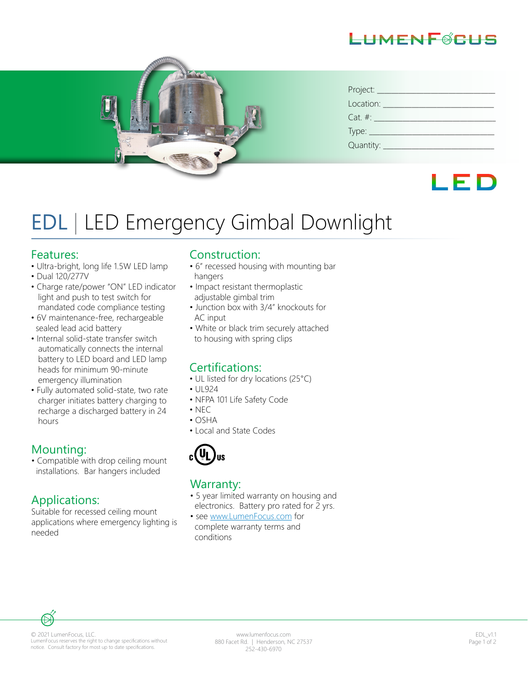



| Project:      |
|---------------|
| Location:     |
| $Cat. \#:$    |
|               |
| Quantity: ___ |



# EDL | LED Emergency Gimbal Downlight

#### Features:

- Ultra-bright, long life 1.5W LED lamp
- Dual 120/277V
- Charge rate/power "ON" LED indicator light and push to test switch for mandated code compliance testing
- 6V maintenance-free, rechargeable sealed lead acid battery
- Internal solid-state transfer switch automatically connects the internal battery to LED board and LED lamp heads for minimum 90-minute emergency illumination
- Fully automated solid-state, two rate charger initiates battery charging to recharge a discharged battery in 24 hours

# Mounting:

• Compatible with drop ceiling mount installations. Bar hangers included

# Applications:

Suitable for recessed ceiling mount applications where emergency lighting is needed

### Construction:

- 6" recessed housing with mounting bar hangers
- Impact resistant thermoplastic adjustable gimbal trim
- Junction box with 3/4" knockouts for AC input
- White or black trim securely attached to housing with spring clips

# Certifications:

- UL listed for dry locations (25°C)
- UL924
- NFPA 101 Life Safety Code
- $\cdot$  NEC
- OSHA
- Local and State Codes



#### Warranty:

- 5 year limited warranty on housing and electronics. Battery pro rated for 2 yrs.
- see www.LumenFocus.com for complete warranty terms and conditions